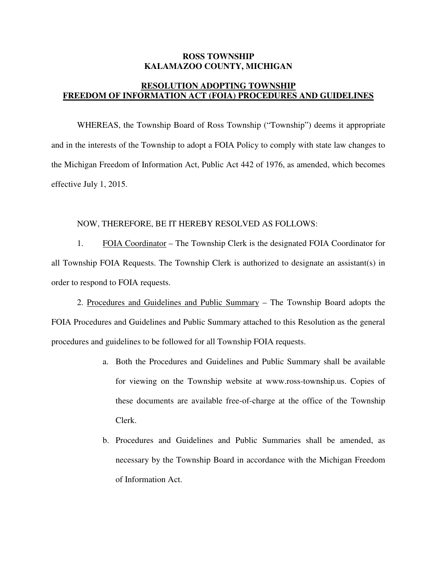## **ROSS TOWNSHIP KALAMAZOO COUNTY, MICHIGAN**

## **FREEDOM OF INFORMATION ACT (FOIA) PROCEDURES AND GUIDELINES RESOLUTION ADOPTING TOWNSHIP**

 WHEREAS, the Township Board of Ross Township ("Township") deems it appropriate and in the interests of the Township to adopt a FOIA Policy to comply with state law changes to the Michigan Freedom of Information Act, Public Act 442 of 1976, as amended, which becomes effective July 1, 2015.

## NOW, THEREFORE, BE IT HEREBY RESOLVED AS FOLLOWS:

 $1.$  all Township FOIA Requests. The Township Clerk is authorized to designate an assistant(s) in order to respond to FOIA requests. 1. FOIA Coordinator – The Township Clerk is the designated FOIA Coordinator for

2. Procedures and Guidelines and Public Summary – The Township Board adopts the FOIA Procedures and Guidelines and Public Summary attached to this Resolution as the general procedures and guidelines to be followed for all Township FOIA requests.

- a. Both the Procedures and Guidelines and Public Summary shall be available for viewing on the Township website at www.ross-township.us. Copies of these documents are available free-of-charge at the office of the Township Clerk.
- b. Procedures and Guidelines and Public Summaries shall be amended, as necessary by the Township Board in accordance with the Michigan Freedom of Information Act.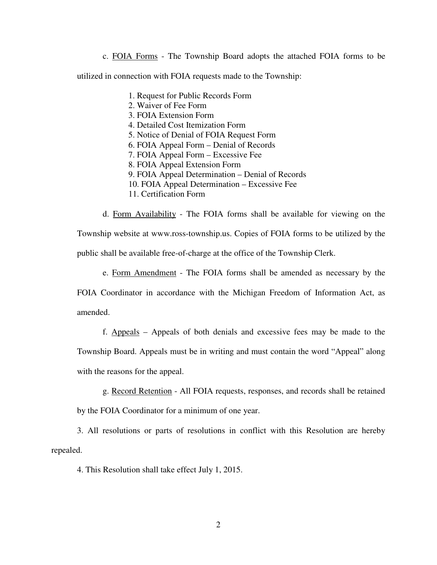c. FOIA Forms - The Township Board adopts the attached FOIA forms to be

utilized in connection with FOIA requests made to the Township:

- 1. Request for Public Records Form
- 2. Waiver of Fee Form
- 3. FOIA Extension Form
- 4. Detailed Cost Itemization Form
- 5. Notice of Denial of FOIA Request Form
- 6. FOIA Appeal Form Denial of Records
- 7. FOIA Appeal Form Excessive Fee
- 8. FOIA Appeal Extension Form
- 9. FOIA Appeal Determination Denial of Records
- 10. FOIA Appeal Determination Excessive Fee
- 11. Certification Form

 d. Form Availability - The FOIA forms shall be available for viewing on the Township website at www.ross-township.us. Copies of FOIA forms to be utilized by the public shall be available free-of-charge at the office of the Township Clerk.

e. Form Amendment - The FOIA forms shall be amended as necessary by the

 FOIA Coordinator in accordance with the Michigan Freedom of Information Act, as amended.

 f. Appeals – Appeals of both denials and excessive fees may be made to the Township Board. Appeals must be in writing and must contain the word "Appeal" along with the reasons for the appeal.

 g. Record Retention - All FOIA requests, responses, and records shall be retained by the FOIA Coordinator for a minimum of one year.

 3. All resolutions or parts of resolutions in conflict with this Resolution are hereby repealed.

4. This Resolution shall take effect July 1, 2015.